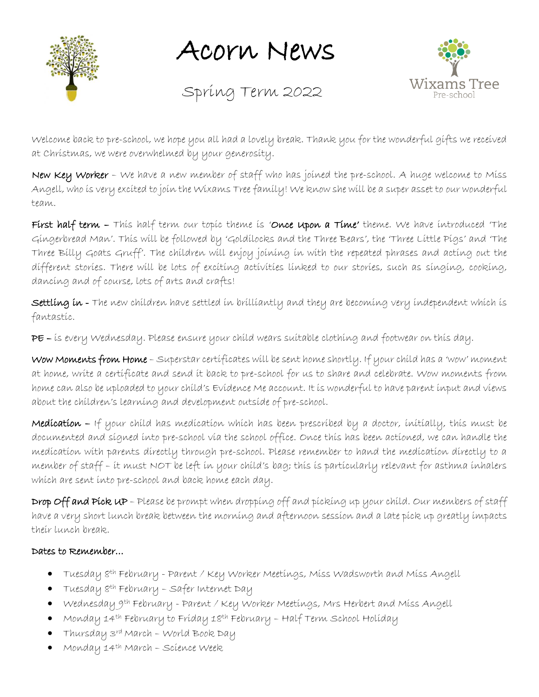

Acorn News

Spring Term 2022



Welcome back to pre-school, we hope you all had a lovely break. Thank you for the wonderful gifts we received at Christmas, we were overwhelmed by your generosity.

New Key Worker - We have a new member of staff who has joined the pre-school. A huge welcome to Miss Angell, who is very excited to join the Wixams Tree family! We know she will be a super asset to our wonderful team.

First half term - This half term our topic theme is 'Once upon a Time' theme. We have introduced 'The Gingerbread Man'. This will be followed by 'Goldilocks and the Three Bears', the 'Three Little Pigs' and 'The Three Billy Goats Gruff'. The children will enjoy joining in with the repeated phrases and acting out the different stories. There will be lots of exciting activities linked to our stories, such as singing, cooking, dancing and of course, lots of arts and crafts!

Settling in - The new children have settled in brilliantly and they are becoming very independent which is fantastic.

PE – is every Wednesday. Please ensure your child wears suitable clothing and footwear on this day.

Wow Moments from Home – Superstar certificates will be sent home shortly. If your child has a 'wow' moment at home, write a certificate and send it back to pre-school for us to share and celebrate. Wow moments from home can also be uploaded to your child's Evidence Me account. It is wonderful to have parent input and views about the children's learning and development outside of pre-school.

Medication – If your child has medication which has been prescribed by a doctor, initially, this must be documented and signed into pre-school via the school office. Once this has been actioned, we can handle the medication with parents directly through pre-school. Please remember to hand the medication directly to a member of staff – it must NOT be left in your child's bag; this is particularly relevant for asthma inhalers which are sent into pre-school and back home each day.

Drop Off and Pick UP - Please be prompt when dropping off and picking up your child. Our members of staff have a very short lunch break between the morning and afternoon session and a late pick up greatly impacts their lunch break.

## Dates to Remember…

- Tuesday 8th February Parent / Key Worker Meetings, Miss Wadsworth and Miss Angell
- Tuesday 8th February Safer Internet Day
- Wednesday 9th February Parent / Key Worker Meetings, Mrs Herbert and Miss Angell
- Monday 14<sup>th</sup> February to Fríday 18<sup>th</sup> February Half Term School Holíday
- Thursday 3rd March World Book Day
- Monday 14th March Science Week